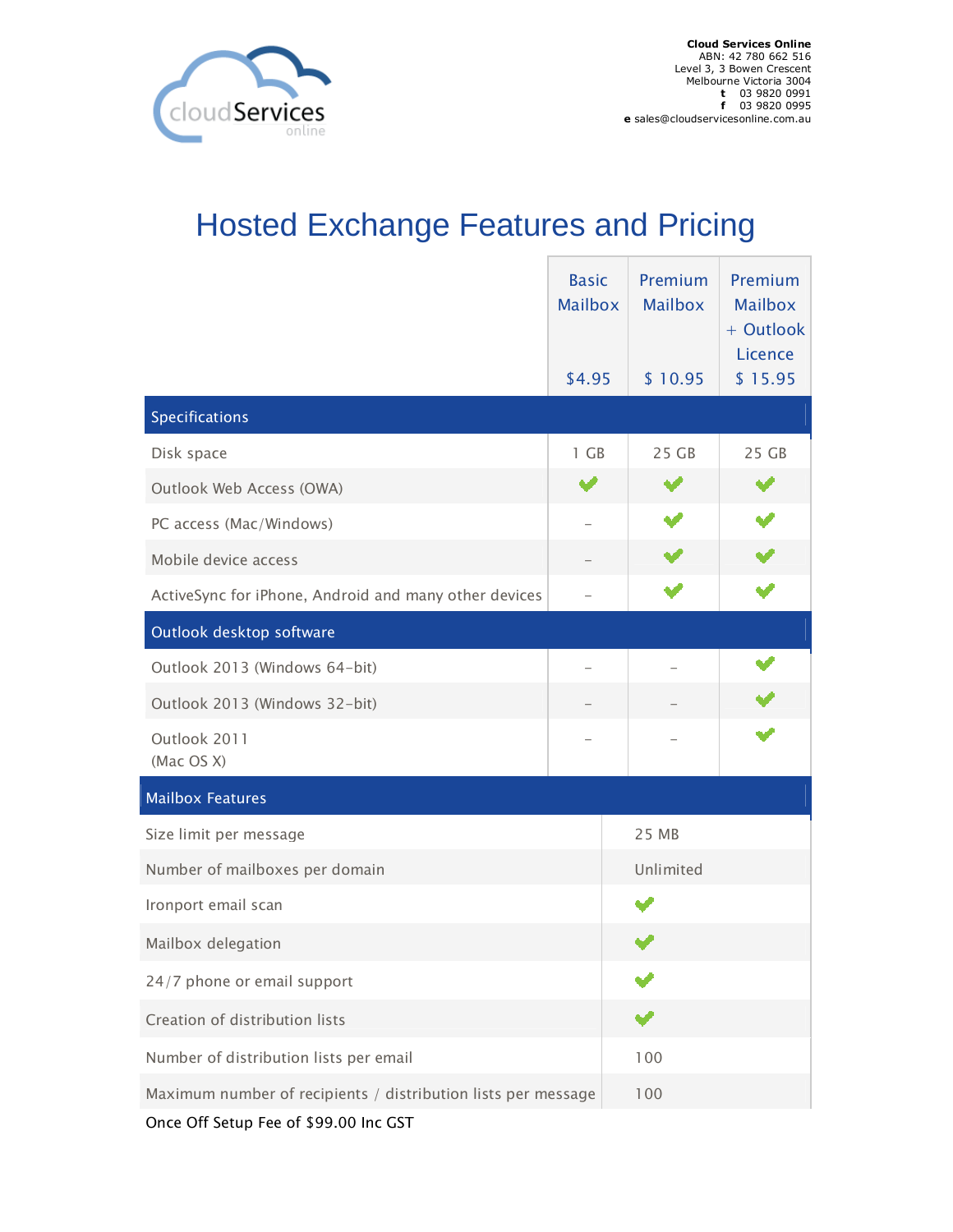

## Hosted Exchange Features and Pricing

|                                                               | <b>Basic</b><br><b>Mailbox</b> | Premium<br><b>Mailbox</b> | Premium<br><b>Mailbox</b><br>+ Outlook<br>Licence |
|---------------------------------------------------------------|--------------------------------|---------------------------|---------------------------------------------------|
|                                                               | \$4.95                         | \$10.95                   | \$15.95                                           |
| Specifications                                                |                                |                           |                                                   |
| Disk space                                                    | 1 GB                           | 25 GB                     | 25 GB                                             |
| Outlook Web Access (OWA)                                      |                                |                           |                                                   |
| PC access (Mac/Windows)                                       |                                |                           |                                                   |
| Mobile device access                                          |                                |                           |                                                   |
| ActiveSync for iPhone, Android and many other devices         |                                |                           |                                                   |
| Outlook desktop software                                      |                                |                           |                                                   |
| Outlook 2013 (Windows 64-bit)                                 |                                |                           |                                                   |
| Outlook 2013 (Windows 32-bit)                                 |                                |                           |                                                   |
| Outlook 2011<br>(Mac OS X)                                    |                                |                           |                                                   |
| <b>Mailbox Features</b>                                       |                                |                           |                                                   |
| Size limit per message                                        |                                | 25 MB                     |                                                   |
| Number of mailboxes per domain                                |                                | Unlimited                 |                                                   |
| Ironport email scan                                           |                                |                           |                                                   |
| Mailbox delegation                                            |                                |                           |                                                   |
| 24/7 phone or email support                                   |                                |                           |                                                   |
| Creation of distribution lists                                |                                |                           |                                                   |
| Number of distribution lists per email                        |                                | 100                       |                                                   |
| Maximum number of recipients / distribution lists per message |                                | 100                       |                                                   |
| Once Off Setup Fee of \$99.00 Inc GST                         |                                |                           |                                                   |